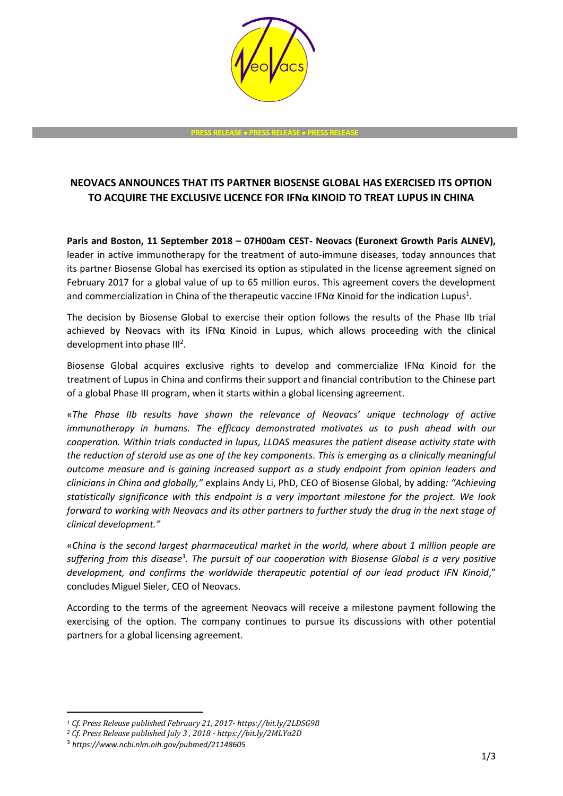

**PRESS RELEASE PRESS RELEASE PRESS RELEASE**

## **NEOVACS ANNOUNCES THAT ITS PARTNER BIOSENSE GLOBAL HAS EXERCISED ITS OPTION TO ACQUIRE THE EXCLUSIVE LICENCE FOR IFNα KINOID TO TREAT LUPUS IN CHINA**

**Paris and Boston, 11 September 2018 – 07H00am CEST- Neovacs (Euronext Growth Paris ALNEV),** leader in active immunotherapy for the treatment of auto-immune diseases, today announces that its partner Biosense Global has exercised its option as stipulated in the license agreement signed on February 2017 for a global value of up to 65 million euros. This agreement covers the development and commercialization in China of the therapeutic vaccine IFN $\alpha$  Kinoid for the indication Lupus<sup>1</sup>.

The decision by Biosense Global to exercise their option follows the results of the Phase IIb trial achieved by Neovacs with its IFNα Kinoid in Lupus, which allows proceeding with the clinical development into phase  $III<sup>2</sup>$ .

Biosense Global acquires exclusive rights to develop and commercialize IFN $\alpha$  Kinoid for the treatment of Lupus in China and confirms their support and financial contribution to the Chinese part of a global Phase III program, when it starts within a global licensing agreement.

«*The Phase IIb results have shown the relevance of Neovacs' unique technology of active immunotherapy in humans. The efficacy demonstrated motivates us to push ahead with our cooperation. Within trials conducted in lupus, LLDAS measures the patient disease activity state with the reduction of steroid use as one of the key components. This is emerging as a clinically meaningful outcome measure and is gaining increased support as a study endpoint from opinion leaders and clinicians in China and globally,"* explains Andy Li, PhD, CEO of Biosense Global, by adding*: "Achieving statistically significance with this endpoint is a very important milestone for the project. We look forward to working with Neovacs and its other partners to further study the drug in the next stage of clinical development."*

«*China is the second largest pharmaceutical market in the world, where about 1 million people are suffering from this disease<sup>3</sup> . The pursuit of our cooperation with Biosense Global is a very positive development, and confirms the worldwide therapeutic potential of our lead product IFN Kinoid*," concludes Miguel Sieler, CEO of Neovacs.

According to the terms of the agreement Neovacs will receive a milestone payment following the exercising of the option. The company continues to pursue its discussions with other potential partners for a global licensing agreement.

-

*<sup>1</sup> Cf. Press Release published February 21, 2017- https://bit.ly/2LDSG98*

*<sup>2</sup> Cf. Press Release published July 3 , 2018 - https://bit.ly/2MLYa2D*

<sup>3</sup> *https://www.ncbi.nlm.nih.gov/pubmed/21148605*